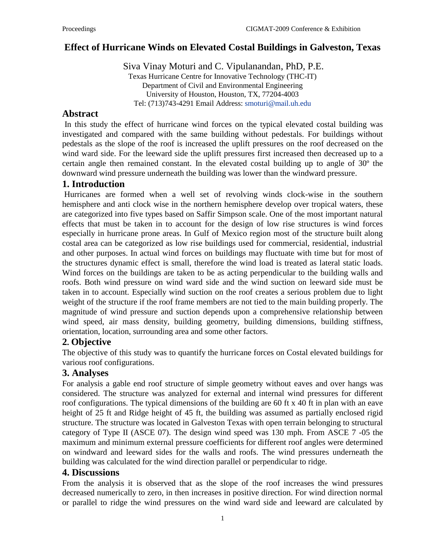# **Effect of Hurricane Winds on Elevated Costal Buildings in Galveston, Texas**

Siva Vinay Moturi and C. Vipulanandan, PhD, P.E. Texas Hurricane Centre for Innovative Technology (THC-IT) Department of Civil and Environmental Engineering University of Houston, Houston, TX, 77204-4003 Tel: (713)743-4291 Email Address: [smoturi@mail.uh.edu](mailto:ksirvole@uh.edu)

#### **Abstract**

In this study the effect of hurricane wind forces on the typical elevated costal building was investigated and compared with the same building without pedestals. For buildings without pedestals as the slope of the roof is increased the uplift pressures on the roof decreased on the wind ward side. For the leeward side the uplift pressures first increased then decreased up to a certain angle then remained constant. In the elevated costal building up to angle of 30º the downward wind pressure underneath the building was lower than the windward pressure.

## **1. Introduction**

Hurricanes are formed when a well set of revolving winds clock-wise in the southern hemisphere and anti clock wise in the northern hemisphere develop over tropical waters, these are categorized into five types based on Saffir Simpson scale. One of the most important natural effects that must be taken in to account for the design of low rise structures is wind forces especially in hurricane prone areas. In Gulf of Mexico region most of the structure built along costal area can be categorized as low rise buildings used for commercial, residential, industrial and other purposes. In actual wind forces on buildings may fluctuate with time but for most of the structures dynamic effect is small, therefore the wind load is treated as lateral static loads. Wind forces on the buildings are taken to be as acting perpendicular to the building walls and roofs. Both wind pressure on wind ward side and the wind suction on leeward side must be taken in to account. Especially wind suction on the roof creates a serious problem due to light weight of the structure if the roof frame members are not tied to the main building properly. The magnitude of wind pressure and suction depends upon a comprehensive relationship between wind speed, air mass density, building geometry, building dimensions, building stiffness, orientation, location, surrounding area and some other factors.

## **2. Objective**

The objective of this study was to quantify the hurricane forces on Costal elevated buildings for various roof configurations.

### **3. Analyses**

For analysis a gable end roof structure of simple geometry without eaves and over hangs was considered. The structure was analyzed for external and internal wind pressures for different roof configurations. The typical dimensions of the building are 60 ft x 40 ft in plan with an eave height of 25 ft and Ridge height of 45 ft, the building was assumed as partially enclosed rigid structure. The structure was located in Galveston Texas with open terrain belonging to structural category of Type II (ASCE 07). The design wind speed was 130 mph. From ASCE 7 -05 the maximum and minimum external pressure coefficients for different roof angles were determined on windward and leeward sides for the walls and roofs. The wind pressures underneath the building was calculated for the wind direction parallel or perpendicular to ridge.

### **4. Discussions**

From the analysis it is observed that as the slope of the roof increases the wind pressures decreased numerically to zero, in then increases in positive direction. For wind direction normal or parallel to ridge the wind pressures on the wind ward side and leeward are calculated by